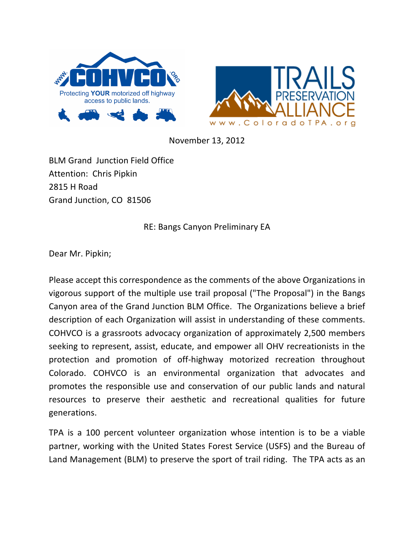



November 13, 2012

**BLM Grand Junction Field Office** Attention: Chris Pipkin 2815 H Road Grand Junction, CO 81506

RE: Bangs Canyon Preliminary EA

Dear Mr. Pipkin;

Please accept this correspondence as the comments of the above Organizations in vigorous support of the multiple use trail proposal ("The Proposal") in the Bangs Canyon area of the Grand Junction BLM Office. The Organizations believe a brief description of each Organization will assist in understanding of these comments. COHVCO is a grassroots advocacy organization of approximately 2,500 members seeking to represent, assist, educate, and empower all OHV recreationists in the protection and promotion of off-highway motorized recreation throughout Colorado. COHVCO is an environmental organization that advocates and promotes the responsible use and conservation of our public lands and natural resources to preserve their aesthetic and recreational qualities for future generations.

TPA is a 100 percent volunteer organization whose intention is to be a viable partner, working with the United States Forest Service (USFS) and the Bureau of Land Management (BLM) to preserve the sport of trail riding. The TPA acts as an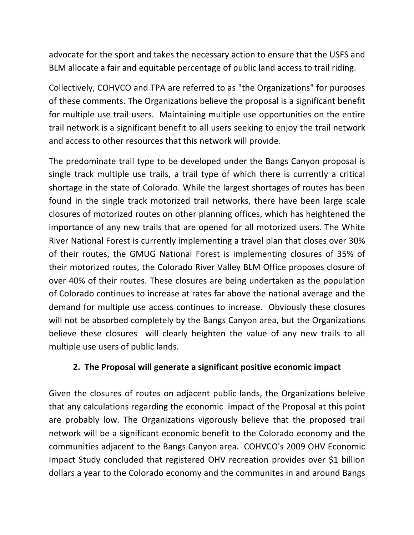advocate for the sport and takes the necessary action to ensure that the USFS and BLM allocate a fair and equitable percentage of public land access to trail riding.

Collectively, COHVCO and TPA are referred to as "the Organizations" for purposes of these comments. The Organizations believe the proposal is a significant benefit for multiple use trail users. Maintaining multiple use opportunities on the entire trail network is a significant benefit to all users seeking to enjoy the trail network and access to other resources that this network will provide.

The predominate trail type to be developed under the Bangs Canyon proposal is single track multiple use trails, a trail type of which there is currently a critical shortage in the state of Colorado. While the largest shortages of routes has been found in the single track motorized trail networks, there have been large scale closures of motorized routes on other planning offices, which has heightened the importance of any new trails that are opened for all motorized users. The White River National Forest is currently implementing a travel plan that closes over 30% of their routes, the GMUG National Forest is implementing closures of 35% of their motorized routes, the Colorado River Valley BLM Office proposes closure of over 40% of their routes. These closures are being undertaken as the population of Colorado continues to increase at rates far above the national average and the demand for multiple use access continues to increase. Obviously these closures will not be absorbed completely by the Bangs Canyon area, but the Organizations believe these closures will clearly heighten the value of any new trails to all multiple use users of public lands.

## **2. The Proposal will generate a significant positive economic impact**

Given the closures of routes on adjacent public lands, the Organizations beleive that any calculations regarding the economic impact of the Proposal at this point are probably low. The Organizations vigorously believe that the proposed trail network will be a significant economic benefit to the Colorado economy and the communities adjacent to the Bangs Canyon area. COHVCO's 2009 OHV Economic Impact Study concluded that registered OHV recreation provides over \$1 billion dollars a year to the Colorado economy and the communites in and around Bangs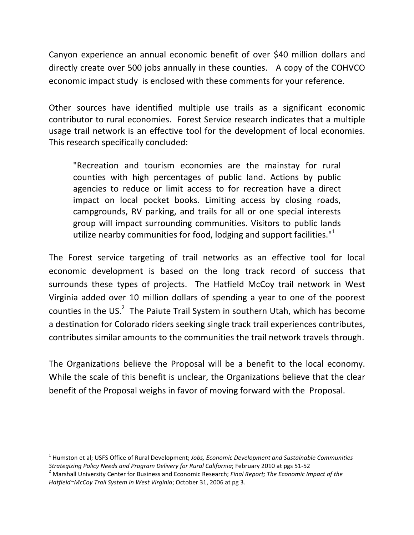Canyon experience an annual economic benefit of over \$40 million dollars and directly create over 500 jobs annually in these counties. A copy of the COHVCO economic impact study is enclosed with these comments for your reference.

Other sources have identified multiple use trails as a significant economic contributor to rural economies. Forest Service research indicates that a multiple usage trail network is an effective tool for the development of local economies. This research specifically concluded:

"Recreation and tourism economies are the mainstay for rural counties with high percentages of public land. Actions by public agencies to reduce or limit access to for recreation have a direct impact on local pocket books. Limiting access by closing roads, campgrounds, RV parking, and trails for all or one special interests group will impact surrounding communities. Visitors to public lands utilize nearby communities for food, lodging and support facilities." $1$ 

The Forest service targeting of trail networks as an effective tool for local economic development is based on the long track record of success that surrounds these types of projects. The Hatfield McCoy trail network in West Virginia added over 10 million dollars of spending a year to one of the poorest counties in the US.<sup>2</sup> The Paiute Trail System in southern Utah, which has become a destination for Colorado riders seeking single track trail experiences contributes, contributes similar amounts to the communities the trail network travels through.

The Organizations believe the Proposal will be a benefit to the local economy. While the scale of this benefit is unclear, the Organizations believe that the clear benefit of the Proposal weighs in favor of moving forward with the Proposal.

 

<sup>&</sup>lt;sup>1</sup> Humston et al; USFS Office of Rural Development; *Jobs, Economic Development and Sustainable Communities Strategizing Policy Needs and Program Delivery for Rural California*; February 2010 at pgs 51-52 <sup>2</sup> Marshall University Center for Business and Economic Research; *Final Report; The Economic Impact of the* 

Hatfield~McCoy Trail System in West Virginia; October 31, 2006 at pg 3.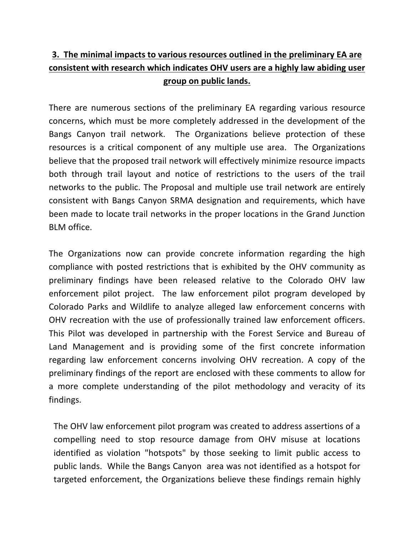## **3.** The minimal impacts to various resources outlined in the preliminary EA are consistent with research which indicates OHV users are a highly law abiding user **group on public lands.**

There are numerous sections of the preliminary EA regarding various resource concerns, which must be more completely addressed in the development of the Bangs Canyon trail network. The Organizations believe protection of these resources is a critical component of any multiple use area. The Organizations believe that the proposed trail network will effectively minimize resource impacts both through trail layout and notice of restrictions to the users of the trail networks to the public. The Proposal and multiple use trail network are entirely consistent with Bangs Canyon SRMA designation and requirements, which have been made to locate trail networks in the proper locations in the Grand Junction BLM office. 

The Organizations now can provide concrete information regarding the high compliance with posted restrictions that is exhibited by the OHV community as preliminary findings have been released relative to the Colorado OHV law enforcement pilot project. The law enforcement pilot program developed by Colorado Parks and Wildlife to analyze alleged law enforcement concerns with OHV recreation with the use of professionally trained law enforcement officers. This Pilot was developed in partnership with the Forest Service and Bureau of Land Management and is providing some of the first concrete information regarding law enforcement concerns involving OHV recreation. A copy of the preliminary findings of the report are enclosed with these comments to allow for a more complete understanding of the pilot methodology and veracity of its findings. 

The OHV law enforcement pilot program was created to address assertions of a compelling need to stop resource damage from OHV misuse at locations identified as violation "hotspots" by those seeking to limit public access to public lands. While the Bangs Canyon area was not identified as a hotspot for targeted enforcement, the Organizations believe these findings remain highly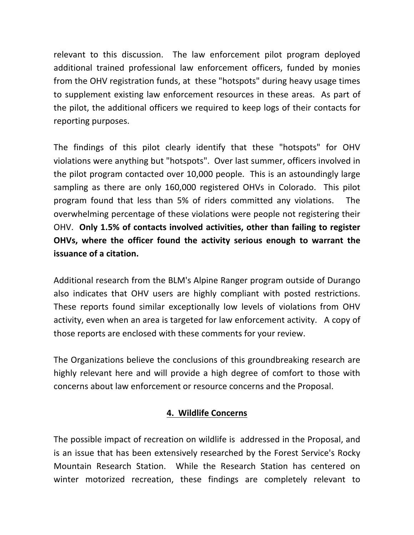relevant to this discussion. The law enforcement pilot program deployed additional trained professional law enforcement officers, funded by monies from the OHV registration funds, at these "hotspots" during heavy usage times to supplement existing law enforcement resources in these areas. As part of the pilot, the additional officers we required to keep logs of their contacts for reporting purposes.

The findings of this pilot clearly identify that these "hotspots" for OHV violations were anything but "hotspots". Over last summer, officers involved in the pilot program contacted over 10,000 people. This is an astoundingly large sampling as there are only 160,000 registered OHVs in Colorado. This pilot program found that less than 5% of riders committed any violations. The overwhelming percentage of these violations were people not registering their OHV. Only 1.5% of contacts involved activities, other than failing to register **OHVs, where the officer found the activity serious enough to warrant the issuance of a citation.** 

Additional research from the BLM's Alpine Ranger program outside of Durango also indicates that OHV users are highly compliant with posted restrictions. These reports found similar exceptionally low levels of violations from OHV activity, even when an area is targeted for law enforcement activity. A copy of those reports are enclosed with these comments for your review.

The Organizations believe the conclusions of this groundbreaking research are highly relevant here and will provide a high degree of comfort to those with concerns about law enforcement or resource concerns and the Proposal.

## **4. Wildlife Concerns**

The possible impact of recreation on wildlife is addressed in the Proposal, and is an issue that has been extensively researched by the Forest Service's Rocky Mountain Research Station. While the Research Station has centered on winter motorized recreation, these findings are completely relevant to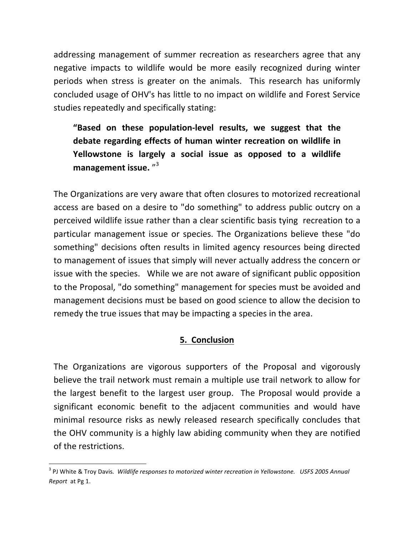addressing management of summer recreation as researchers agree that any negative impacts to wildlife would be more easily recognized during winter periods when stress is greater on the animals. This research has uniformly concluded usage of OHV's has little to no impact on wildlife and Forest Service studies repeatedly and specifically stating:

"Based on these population-level results, we suggest that the debate regarding effects of human winter recreation on wildlife in Yellowstone is largely a social issue as opposed to a wildlife management issue.<sup>"3</sup>

The Organizations are very aware that often closures to motorized recreational access are based on a desire to "do something" to address public outcry on a perceived wildlife issue rather than a clear scientific basis tying recreation to a particular management issue or species. The Organizations believe these "do something" decisions often results in limited agency resources being directed to management of issues that simply will never actually address the concern or issue with the species. While we are not aware of significant public opposition to the Proposal, "do something" management for species must be avoided and management decisions must be based on good science to allow the decision to remedy the true issues that may be impacting a species in the area.

## **5. Conclusion**

The Organizations are vigorous supporters of the Proposal and vigorously believe the trail network must remain a multiple use trail network to allow for the largest benefit to the largest user group. The Proposal would provide a significant economic benefit to the adjacent communities and would have minimal resource risks as newly released research specifically concludes that the OHV community is a highly law abiding community when they are notified of the restrictions.

 

<sup>&</sup>lt;sup>3</sup> PJ White & Troy Davis. Wildlife responses to motorized winter recreation in Yellowstone. USFS 2005 Annual *Report* at Pg 1.